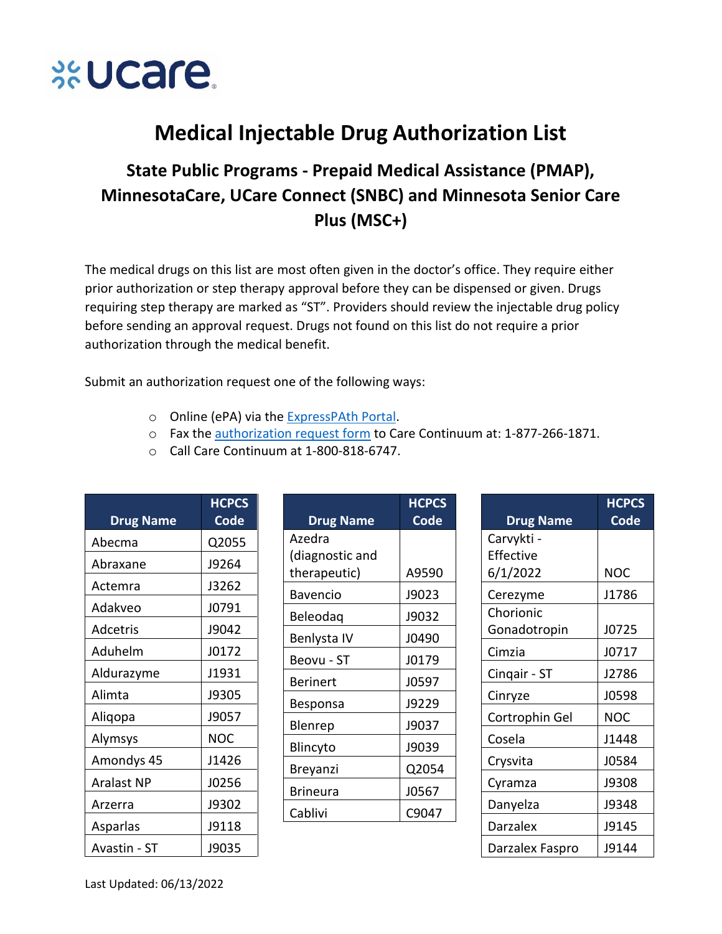

## **Medical Injectable Drug Authorization List**

## State Public Programs - Prepaid Medical Assistance (PMAP), MinnesotaCare, UCare Connect (SNBC) and Minnesota Senior Care Plus (MSC+)

The medical drugs on this list are most often given in the doctor's office. They require either prior authorization or step therapy approval before they can be dispensed or given. Drugs requiring step therapy are marked as "ST". Providers should review the injectable drug policy before sending an approval request. Drugs not found on this list do not require a prior authorization through the medical benefit.

Submit an authorization request one of the following ways:

- o Online (ePA) via the ExpressPAth Portal.
- o Fax the authorization request form to Care Continuum at: 1-877-266-1871.

**ICPCS** 

○ Call Care Continuum at 1-800-818-6747.

| <b>Drug Name</b>  | <b>HCPCS</b><br>Code | <b>Drug Name</b> | <b>HCPCS</b><br>Code | <b>Drug Name</b> | <b>HCPCS</b><br><b>Code</b> |
|-------------------|----------------------|------------------|----------------------|------------------|-----------------------------|
|                   |                      | Azedra           |                      | Carvykti -       |                             |
| Abecma            | Q2055                | (diagnostic and  |                      | Effective        |                             |
| Abraxane          | J9264                | therapeutic)     | A9590                | 6/1/2022         | <b>NOC</b>                  |
| Actemra           | J3262                | Bavencio         | J9023                |                  | J1786                       |
| Adakveo           | J0791                |                  |                      | Cerezyme         |                             |
|                   |                      | Beleodag         | J9032                | Chorionic        |                             |
| Adcetris          | J9042                | Benlysta IV      | J0490                | Gonadotropin     | J0725                       |
| Aduhelm           | J0172                | Beovu - ST       | J0179                | Cimzia           | J0717                       |
| Aldurazyme        | J1931                | <b>Berinert</b>  | J0597                | Cingair - ST     | J2786                       |
| Alimta            | J9305                |                  | J9229                | Cinryze          | J0598                       |
| Aliqopa           | J9057                | Besponsa         |                      | Cortrophin Gel   | <b>NOC</b>                  |
| Alymsys           | <b>NOC</b>           | Blenrep          | J9037                | Cosela           | J1448                       |
| Amondys 45        | J1426                | Blincyto         | J9039                | Crysvita         | J0584                       |
| <b>Aralast NP</b> | J0256                | Breyanzi         | Q2054                | Cyramza          | J9308                       |
| Arzerra           | J9302                | <b>Brineura</b>  | J0567                | Danyelza         | J9348                       |
|                   |                      | Cablivi          | C9047                |                  |                             |
| Asparlas          | J9118                |                  |                      | <b>Darzalex</b>  | J9145                       |
| Avastin - ST      | J9035                |                  |                      | Darzalex Faspro  | J9144                       |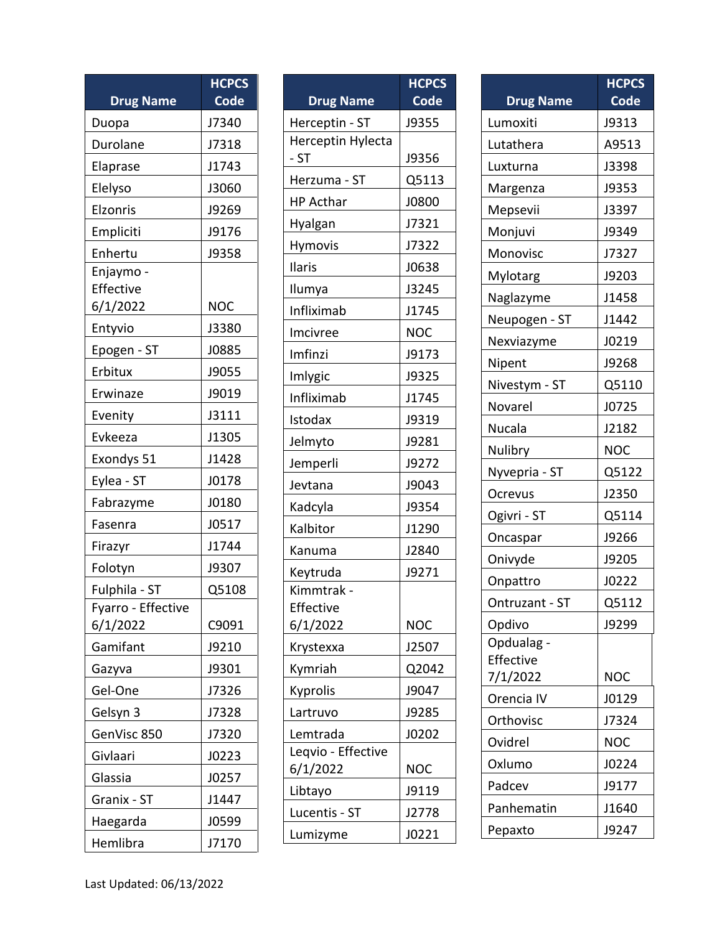| <b>Drug Name</b>                   | <b>HCPCS</b><br><b>Code</b> |
|------------------------------------|-----------------------------|
| Duopa                              | J7340                       |
| Durolane                           | J7318                       |
| Elaprase                           | J1743                       |
| Elelyso                            | J3060                       |
| Elzonris                           | J9269                       |
| Empliciti                          | J9176                       |
| Enhertu                            | J9358                       |
| Enjaymo -<br>Effective<br>6/1/2022 | <b>NOC</b>                  |
| Entyvio                            | J3380                       |
| Epogen - ST                        | J0885                       |
| Erbitux                            | J9055                       |
| Erwinaze                           | J9019                       |
| Evenity                            | J3111                       |
| Evkeeza                            | J1305                       |
| Exondys 51                         | J1428                       |
| Eylea - ST                         | J0178                       |
| Fabrazyme                          | J0180                       |
| Fasenra                            | J0517                       |
| Firazyr                            | J1744                       |
| Folotyn                            | J9307                       |
| Fulphila - ST                      | Q5108                       |
| Fyarro - Effective<br>6/1/2022     | C9091                       |
| Gamifant                           | J9210                       |
| Gazyva                             | J9301                       |
| Gel-One                            | J7326                       |
| Gelsyn 3                           | J7328                       |
| GenVisc 850                        | J7320                       |
| Givlaari                           | J0223                       |
| Glassia                            | J0257                       |
| Granix - ST                        | J1447                       |
| Haegarda                           | J0599                       |
| Hemlibra                           | J7170                       |

|                                | <b>HCPCS</b> |
|--------------------------------|--------------|
| <b>Drug Name</b>               | Code         |
| Herceptin - ST                 | J9355        |
| Herceptin Hylecta              |              |
| $-ST$                          | J9356        |
| Herzuma - ST                   | Q5113        |
| <b>HP Acthar</b>               | J0800        |
| Hyalgan                        | J7321        |
| Hymovis                        | J7322        |
| Ilaris                         | J0638        |
| Ilumya                         | J3245        |
| Infliximab                     | J1745        |
| Imcivree                       | <b>NOC</b>   |
| Imfinzi                        | J9173        |
| Imlygic                        | J9325        |
| Infliximab                     | J1745        |
| Istodax                        | J9319        |
| Jelmyto                        | J9281        |
| Jemperli                       | J9272        |
| Jevtana                        | J9043        |
| Kadcyla                        | J9354        |
| Kalbitor                       | J1290        |
| Kanuma                         | J2840        |
| Keytruda                       | J9271        |
| Kimmtrak -                     |              |
| Effective                      |              |
| 6/1/2022                       | <b>NOC</b>   |
| Krystexxa                      | J2507        |
| Kymriah                        | Q2042        |
| <b>Kyprolis</b>                | J9047        |
| Lartruvo                       | J9285        |
| Lemtrada                       | J0202        |
| Leqvio - Effective<br>6/1/2022 | <b>NOC</b>   |
|                                | J9119        |
| Libtayo                        |              |
| Lucentis - ST                  | J2778        |
| Lumizyme                       | J0221        |

| <b>Drug Name</b>      | <b>HCPCS</b><br>Code |
|-----------------------|----------------------|
| Lumoxiti              | J9313                |
| Lutathera             | A9513                |
| Luxturna              | J3398                |
| Margenza              | J9353                |
| Mepsevii              | J3397                |
| Monjuvi               | J9349                |
| Monovisc              | J7327                |
| Mylotarg              | J9203                |
| Naglazyme             | J1458                |
| Neupogen - ST         | J1442                |
| Nexviazyme            | J0219                |
| Nipent                | J9268                |
| Nivestym - ST         | Q5110                |
| Novarel               | J0725                |
| Nucala                | J2182                |
| Nulibry               | <b>NOC</b>           |
| Nyvepria - ST         | Q5122                |
| Ocrevus               | J2350                |
| Ogivri - ST           | Q5114                |
| Oncaspar              | J9266                |
| Onivyde               | J9205                |
| Onpattro              | J0222                |
| Ontruzant - ST        | Q5112                |
| Opdivo                | J9299                |
| Opdualag              |                      |
| Effective<br>7/1/2022 | <b>NOC</b>           |
| Orencia IV            | J0129                |
| Orthovisc             | J7324                |
| Ovidrel               | <b>NOC</b>           |
| Oxlumo                | J0224                |
| Padcev                | J9177                |
| Panhematin            |                      |
|                       | J1640                |
| Pepaxto               | J9247                |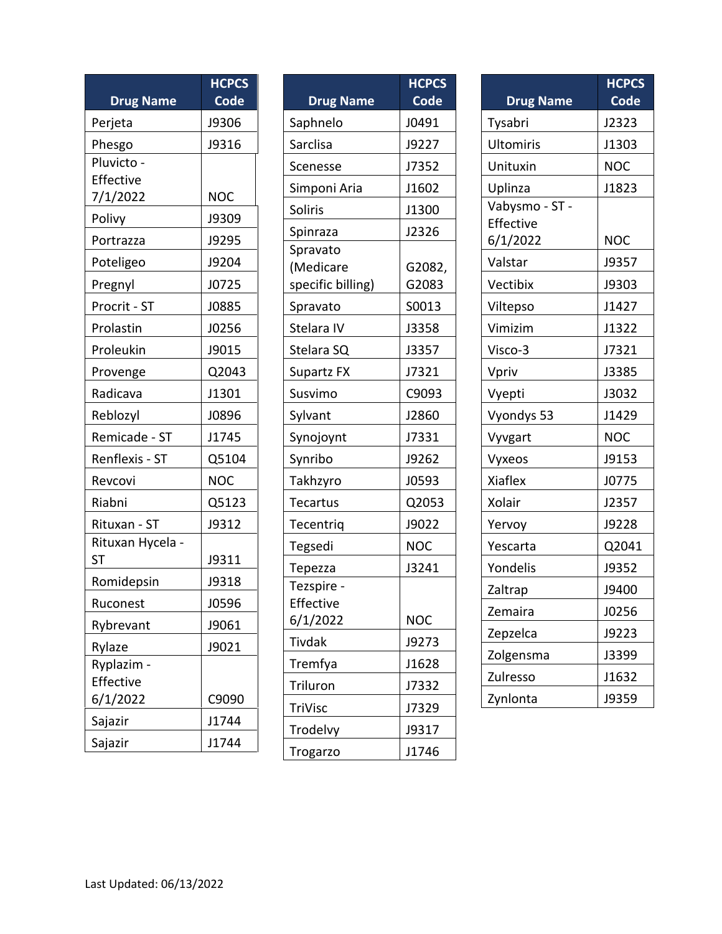| <b>Drug Name</b>              | <b>HCPCS</b><br><b>Code</b> |
|-------------------------------|-----------------------------|
|                               |                             |
| Perjeta                       | J9306                       |
| Phesgo<br>Pluvicto -          | J9316                       |
| Effective                     |                             |
| 7/1/2022                      | <b>NOC</b>                  |
| Polivy                        | J9309                       |
| Portrazza                     | J9295                       |
| Poteligeo                     | J9204                       |
| Pregnyl                       | J0725                       |
| Procrit - ST                  | J0885                       |
| Prolastin                     | J0256                       |
| Proleukin                     | J9015                       |
| Provenge                      | Q2043                       |
| Radicava                      | J1301                       |
| Reblozyl                      | J0896                       |
| Remicade - ST                 | J1745                       |
| Renflexis - ST                | Q5104                       |
| Revcovi                       | <b>NOC</b>                  |
| Riabni                        | Q5123                       |
| Rituxan - ST                  | J9312                       |
| Rituxan Hycela -<br><b>ST</b> | J9311                       |
| Romidepsin                    | J9318                       |
| Ruconest                      | J0596                       |
| Rybrevant                     | J9061                       |
| Rylaze                        | J9021                       |
| Ryplazim -                    |                             |
| Effective                     |                             |
| 6/1/2022                      | C9090                       |
| Sajazir                       | J1744                       |
| Sajazir                       | J1744                       |

|                   | <b>HCPCS</b> |
|-------------------|--------------|
| <b>Drug Name</b>  | <b>Code</b>  |
| Saphnelo          | J0491        |
| Sarclisa          | J9227        |
| Scenesse          | J7352        |
| Simponi Aria      | J1602        |
| Soliris           | J1300        |
| Spinraza          | J2326        |
| Spravato          |              |
| (Medicare         | G2082,       |
| specific billing) | G2083        |
| Spravato          | S0013        |
| Stelara IV        | J3358        |
| Stelara SQ        | J3357        |
| <b>Supartz FX</b> | J7321        |
| Susvimo           | C9093        |
| Sylvant           | J2860        |
| Synojoynt         | J7331        |
| Synribo           | J9262        |
| Takhzyro          | J0593        |
| <b>Tecartus</b>   | Q2053        |
| Tecentriq         | J9022        |
| Tegsedi           | <b>NOC</b>   |
| Tepezza           | J3241        |
| Tezspire -        |              |
| Effective         |              |
| 6/1/2022          | <b>NOC</b>   |
| <b>Tivdak</b>     | J9273        |
| Tremfya           | J1628        |
| Triluron          | J7332        |
| TriVisc           | J7329        |
| Trodelvy          | J9317        |
| Trogarzo          | J1746        |

| <b>Drug Name</b>            | <b>HCPCS</b><br>Code |
|-----------------------------|----------------------|
| Tysabri                     | J2323                |
| <b>Ultomiris</b>            | J1303                |
| Unituxin                    | NOC                  |
| Uplinza                     | J1823                |
| Vabysmo - ST -<br>Effective |                      |
| 6/1/2022                    | NOC                  |
| Valstar                     | J9357                |
| Vectibix                    | J9303                |
| Viltepso                    | J1427                |
| Vimizim                     | J1322                |
| Visco-3                     | J7321                |
| Vpriv                       | J3385                |
| Vyepti                      | J3032                |
| Vyondys 53                  | J1429                |
| Vyvgart                     | <b>NOC</b>           |
| Vyxeos                      | J9153                |
| <b>Xiaflex</b>              | J0775                |
| Xolair                      | J2357                |
| Yervoy                      | J9228                |
| Yescarta                    | Q2041                |
| Yondelis                    | J9352                |
| Zaltrap                     | J9400                |
| Zemaira                     | J0256                |
| Zepzelca                    | J9223                |
| Zolgensma                   | J3399                |
| Zulresso                    | J1632                |
| Zynlonta                    | J9359                |